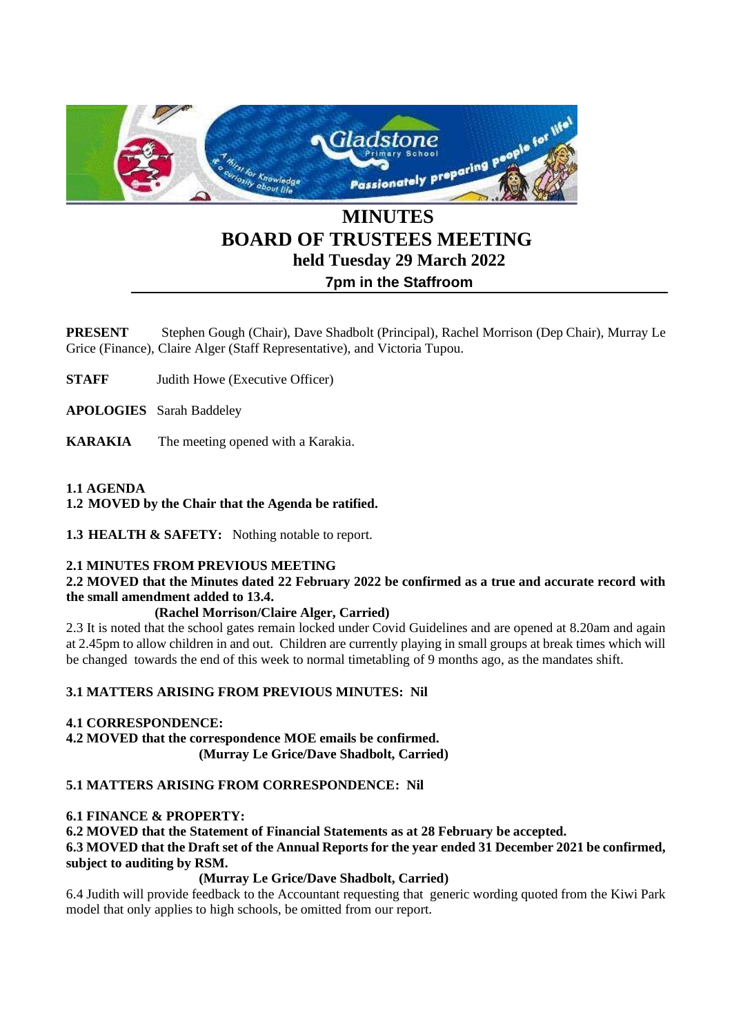

# **BOARD OF TRUSTEES MEETING held Tuesday 29 March 2022 7pm in the Staffroom**

**PRESENT** Stephen Gough (Chair), Dave Shadbolt (Principal), Rachel Morrison (Dep Chair), Murray Le Grice (Finance), Claire Alger (Staff Representative), and Victoria Tupou.

**STAFF** Judith Howe (Executive Officer)

**APOLOGIES** Sarah Baddeley

**KARAKIA** The meeting opened with a Karakia.

# **1.1 AGENDA**

**1.2 MOVED by the Chair that the Agenda be ratified.** 

**1.3 HEALTH & SAFETY:** Nothing notable to report.

## **2.1 MINUTES FROM PREVIOUS MEETING**

**2.2 MOVED that the Minutes dated 22 February 2022 be confirmed as a true and accurate record with the small amendment added to 13.4.**

## **(Rachel Morrison/Claire Alger, Carried)**

2.3 It is noted that the school gates remain locked under Covid Guidelines and are opened at 8.20am and again at 2.45pm to allow children in and out. Children are currently playing in small groups at break times which will be changed towards the end of this week to normal timetabling of 9 months ago, as the mandates shift.

## **3.1 MATTERS ARISING FROM PREVIOUS MINUTES: Nil**

## **4.1 CORRESPONDENCE:**

**4.2 MOVED that the correspondence MOE emails be confirmed. (Murray Le Grice/Dave Shadbolt, Carried)**

## **5.1 MATTERS ARISING FROM CORRESPONDENCE: Nil**

#### **6.1 FINANCE & PROPERTY:**

**6.2 MOVED that the Statement of Financial Statements as at 28 February be accepted. 6.3 MOVED that the Draft set of the Annual Reports for the year ended 31 December 2021 be confirmed, subject to auditing by RSM.**

#### **(Murray Le Grice/Dave Shadbolt, Carried)**

6.4 Judith will provide feedback to the Accountant requesting that generic wording quoted from the Kiwi Park model that only applies to high schools, be omitted from our report.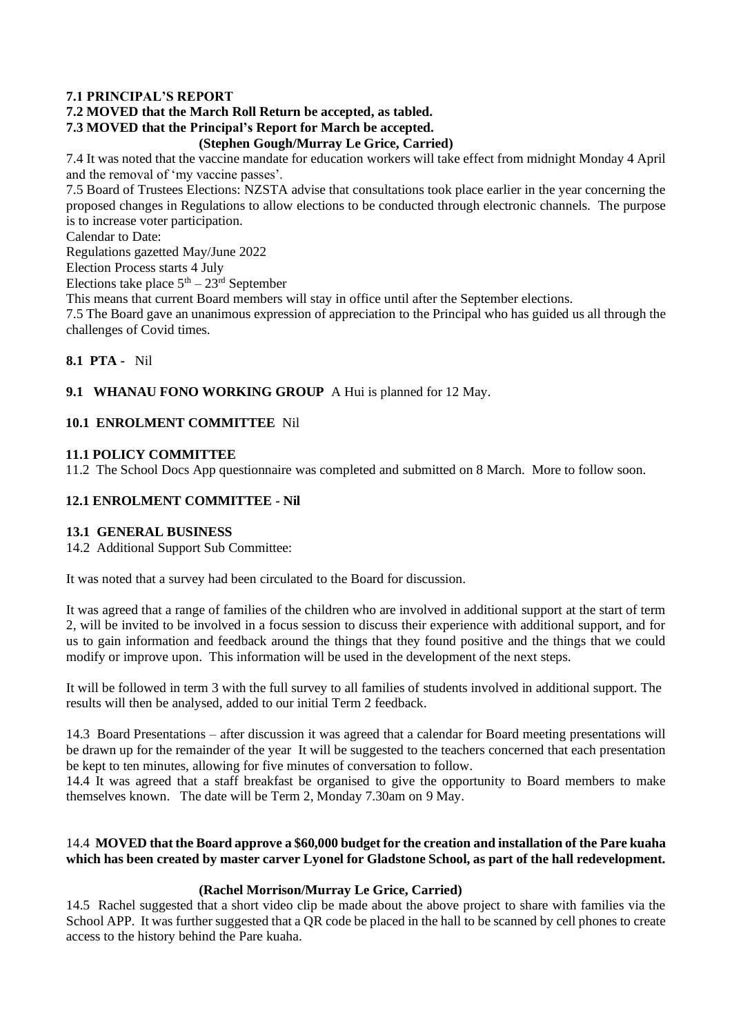#### **7.1 PRINCIPAL'S REPORT**

# **7.2 MOVED that the March Roll Return be accepted, as tabled.**

# **7.3 MOVED that the Principal's Report for March be accepted.**

## **(Stephen Gough/Murray Le Grice, Carried)**

7.4 It was noted that the vaccine mandate for education workers will take effect from midnight Monday 4 April and the removal of 'my vaccine passes'.

7.5 Board of Trustees Elections: NZSTA advise that consultations took place earlier in the year concerning the proposed changes in Regulations to allow elections to be conducted through electronic channels. The purpose is to increase voter participation.

Calendar to Date:

Regulations gazetted May/June 2022

Election Process starts 4 July

Elections take place  $5<sup>th</sup> - 23<sup>rd</sup>$  September

This means that current Board members will stay in office until after the September elections.

7.5 The Board gave an unanimous expression of appreciation to the Principal who has guided us all through the challenges of Covid times.

#### **8.1 PTA -** Nil

## **9.1 WHANAU FONO WORKING GROUP** A Hui is planned for 12 May.

#### **10.1 ENROLMENT COMMITTEE** Nil

## **11.1 POLICY COMMITTEE**

11.2 The School Docs App questionnaire was completed and submitted on 8 March. More to follow soon.

## **12.1 ENROLMENT COMMITTEE - Nil**

#### **13.1 GENERAL BUSINESS**

14.2 Additional Support Sub Committee:

It was noted that a survey had been circulated to the Board for discussion.

It was agreed that a range of families of the children who are involved in additional support at the start of term 2, will be invited to be involved in a focus session to discuss their experience with additional support, and for us to gain information and feedback around the things that they found positive and the things that we could modify or improve upon. This information will be used in the development of the next steps.

It will be followed in term 3 with the full survey to all families of students involved in additional support. The results will then be analysed, added to our initial Term 2 feedback.

14.3 Board Presentations – after discussion it was agreed that a calendar for Board meeting presentations will be drawn up for the remainder of the year It will be suggested to the teachers concerned that each presentation be kept to ten minutes, allowing for five minutes of conversation to follow.

14.4 It was agreed that a staff breakfast be organised to give the opportunity to Board members to make themselves known. The date will be Term 2, Monday 7.30am on 9 May.

## 14.4 **MOVED that the Board approve a \$60,000 budget for the creation and installation of the Pare kuaha which has been created by master carver Lyonel for Gladstone School, as part of the hall redevelopment.**

## **(Rachel Morrison/Murray Le Grice, Carried)**

14.5 Rachel suggested that a short video clip be made about the above project to share with families via the School APP. It was further suggested that a QR code be placed in the hall to be scanned by cell phones to create access to the history behind the Pare kuaha.